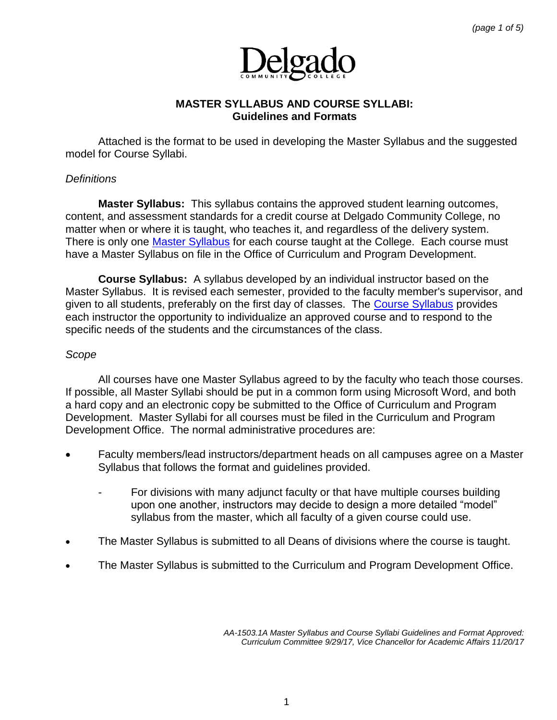

# **MASTER SYLLABUS AND COURSE SYLLABI: Guidelines and Formats**

Attached is the format to be used in developing the Master Syllabus and the suggested model for Course Syllabi.

# *Definitions*

**Master Syllabus:** This syllabus contains the approved student learning outcomes, content, and assessment standards for a credit course at Delgado Community College, no matter when or where it is taught, who teaches it, and regardless of the delivery system. There is only one [Master Syllabus](http://docushare3.dcc.edu/docushare/dsweb/Get/Document-4922) for each course taught at the College. Each course must have a Master Syllabus on file in the Office of Curriculum and Program Development.

**Course Syllabus:** A syllabus developed by an individual instructor based on the Master Syllabus. It is revised each semester, provided to the faculty member's supervisor, and given to all students, preferably on the first day of classes. The [Course Syllabus](http://docushare3.dcc.edu/docushare/dsweb/Get/Document-4923) provides each instructor the opportunity to individualize an approved course and to respond to the specific needs of the students and the circumstances of the class.

#### *Scope*

All courses have one Master Syllabus agreed to by the faculty who teach those courses. If possible, all Master Syllabi should be put in a common form using Microsoft Word, and both a hard copy and an electronic copy be submitted to the Office of Curriculum and Program Development. Master Syllabi for all courses must be filed in the Curriculum and Program Development Office. The normal administrative procedures are:

- Faculty members/lead instructors/department heads on all campuses agree on a Master Syllabus that follows the format and guidelines provided.
	- For divisions with many adjunct faculty or that have multiple courses building upon one another, instructors may decide to design a more detailed "model" syllabus from the master, which all faculty of a given course could use.
- The Master Syllabus is submitted to all Deans of divisions where the course is taught.
- The Master Syllabus is submitted to the Curriculum and Program Development Office.

*AA-1503.1A Master Syllabus and Course Syllabi Guidelines and Format Approved: Curriculum Committee 9/29/17, Vice Chancellor for Academic Affairs 11/20/17*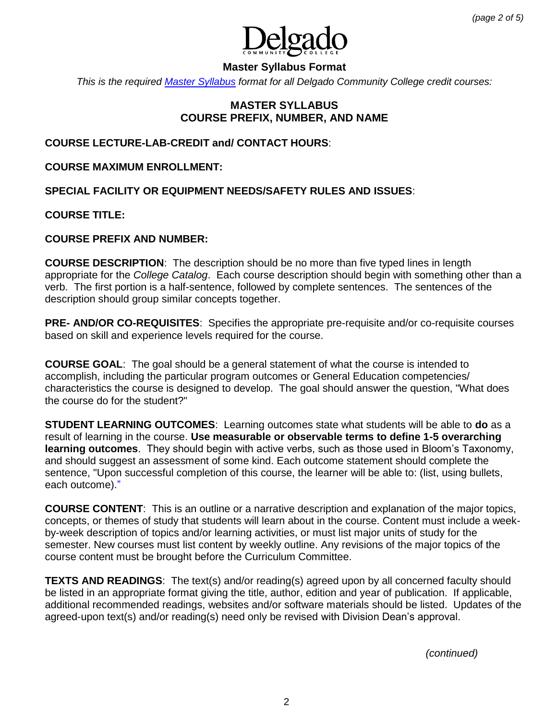

# **Master Syllabus Format**

*This is the required [Master Syllabus](http://docushare3.dcc.edu/docushare/dsweb/Get/Document-4922) format for all Delgado Community College credit courses:*

# **MASTER SYLLABUS COURSE PREFIX, NUMBER, AND NAME**

### **COURSE LECTURE-LAB-CREDIT and/ CONTACT HOURS**:

**COURSE MAXIMUM ENROLLMENT:**

**SPECIAL FACILITY OR EQUIPMENT NEEDS/SAFETY RULES AND ISSUES**:

**COURSE TITLE:** 

#### **COURSE PREFIX AND NUMBER:**

**COURSE DESCRIPTION**: The description should be no more than five typed lines in length appropriate for the *College Catalog*. Each course description should begin with something other than a verb. The first portion is a half-sentence, followed by complete sentences. The sentences of the description should group similar concepts together.

**PRE- AND/OR CO-REQUISITES**: Specifies the appropriate pre-requisite and/or co-requisite courses based on skill and experience levels required for the course.

**COURSE GOAL**: The goal should be a general statement of what the course is intended to accomplish, including the particular program outcomes or General Education competencies/ characteristics the course is designed to develop. The goal should answer the question, "What does the course do for the student?"

**STUDENT LEARNING OUTCOMES**: Learning outcomes state what students will be able to **do** as a result of learning in the course. **Use measurable or observable terms to define 1-5 overarching learning outcomes**. They should begin with active verbs, such as those used in Bloom's Taxonomy, and should suggest an assessment of some kind. Each outcome statement should complete the sentence, "Upon successful completion of this course, the learner will be able to: (list, using bullets, each outcome)."

**COURSE CONTENT**: This is an outline or a narrative description and explanation of the major topics, concepts, or themes of study that students will learn about in the course. Content must include a weekby-week description of topics and/or learning activities, or must list major units of study for the semester. New courses must list content by weekly outline. Any revisions of the major topics of the course content must be brought before the Curriculum Committee.

**TEXTS AND READINGS:** The text(s) and/or reading(s) agreed upon by all concerned faculty should be listed in an appropriate format giving the title, author, edition and year of publication. If applicable, additional recommended readings, websites and/or software materials should be listed. Updates of the agreed-upon text(s) and/or reading(s) need only be revised with Division Dean's approval.

 *(continued)*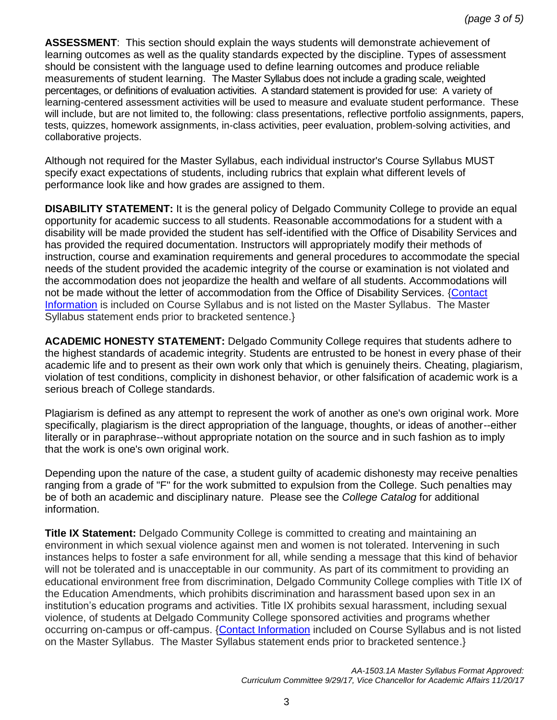**ASSESSMENT**: This section should explain the ways students will demonstrate achievement of learning outcomes as well as the quality standards expected by the discipline. Types of assessment should be consistent with the language used to define learning outcomes and produce reliable measurements of student learning. The Master Syllabus does not include a grading scale, weighted percentages, or definitions of evaluation activities. A standard statement is provided for use: A variety of learning-centered assessment activities will be used to measure and evaluate student performance. These will include, but are not limited to, the following: class presentations, reflective portfolio assignments, papers, tests, quizzes, homework assignments, in-class activities, peer evaluation, problem-solving activities, and collaborative projects.

Although not required for the Master Syllabus, each individual instructor's Course Syllabus MUST specify exact expectations of students, including rubrics that explain what different levels of performance look like and how grades are assigned to them.

**DISABILITY STATEMENT:** It is the general policy of Delgado Community College to provide an equal opportunity for academic success to all students. Reasonable accommodations for a student with a disability will be made provided the student has self-identified with the Office of Disability Services and has provided the required documentation. Instructors will appropriately modify their methods of instruction, course and examination requirements and general procedures to accommodate the special needs of the student provided the academic integrity of the course or examination is not violated and the accommodation does not jeopardize the health and welfare of all students. Accommodations will not be made without the letter of accommodation from the Office of Disability Services. [{Contact](http://www.dcc.edu/student-services/advising/disability-services/faculty-staff-resources/syllabi-statement.aspx)  [Information](http://www.dcc.edu/student-services/advising/disability-services/faculty-staff-resources/syllabi-statement.aspx) is included on Course Syllabus and is not listed on the Master Syllabus. The Master Syllabus statement ends prior to bracketed sentence.}

**ACADEMIC HONESTY STATEMENT:** Delgado Community College requires that students adhere to the highest standards of academic integrity. Students are entrusted to be honest in every phase of their academic life and to present as their own work only that which is genuinely theirs. Cheating, plagiarism, violation of test conditions, complicity in dishonest behavior, or other falsification of academic work is a serious breach of College standards.

Plagiarism is defined as any attempt to represent the work of another as one's own original work. More specifically, plagiarism is the direct appropriation of the language, thoughts, or ideas of another--either literally or in paraphrase--without appropriate notation on the source and in such fashion as to imply that the work is one's own original work.

Depending upon the nature of the case, a student guilty of academic dishonesty may receive penalties ranging from a grade of "F" for the work submitted to expulsion from the College. Such penalties may be of both an academic and disciplinary nature. Please see the *College Catalog* for additional information.

**Title IX Statement:** Delgado Community College is committed to creating and maintaining an environment in which sexual violence against men and women is not tolerated. Intervening in such instances helps to foster a safe environment for all, while sending a message that this kind of behavior will not be tolerated and is unacceptable in our community. As part of its commitment to providing an educational environment free from discrimination, Delgado Community College complies with Title IX of the Education Amendments, which prohibits discrimination and harassment based upon sex in an institution's education programs and activities. Title IX prohibits sexual harassment, including sexual violence, of students at Delgado Community College sponsored activities and programs whether occurring on-campus or off-campus. [{Contact Information](http://www.dcc.edu/title-ix/default.aspx) included on Course Syllabus and is not listed on the Master Syllabus. The Master Syllabus statement ends prior to bracketed sentence.}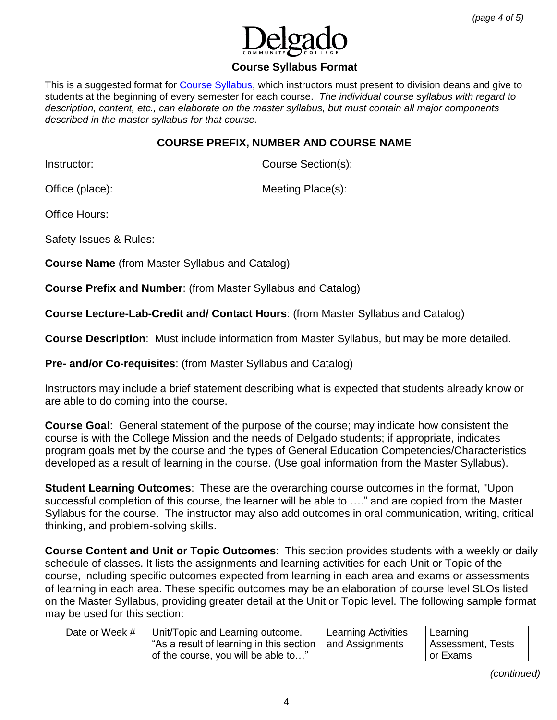

### **Course Syllabus Format**

This is a suggested format for [Course Syllabus,](http://docushare3.dcc.edu/docushare/dsweb/Get/Document-4923) which instructors must present to division deans and give to students at the beginning of every semester for each course. *The individual course syllabus with regard to description, content, etc., can elaborate on the master syllabus, but must contain all major components described in the master syllabus for that course.*

# **COURSE PREFIX, NUMBER AND COURSE NAME**

Instructor: Course Section(s):

Office (place): Meeting Place(s):

Office Hours:

Safety Issues & Rules:

**Course Name** (from Master Syllabus and Catalog)

**Course Prefix and Number**: (from Master Syllabus and Catalog)

**Course Lecture-Lab-Credit and/ Contact Hours**: (from Master Syllabus and Catalog)

**Course Description**: Must include information from Master Syllabus, but may be more detailed.

**Pre- and/or Co-requisites**: (from Master Syllabus and Catalog)

Instructors may include a brief statement describing what is expected that students already know or are able to do coming into the course.

**Course Goal**: General statement of the purpose of the course; may indicate how consistent the course is with the College Mission and the needs of Delgado students; if appropriate, indicates program goals met by the course and the types of General Education Competencies/Characteristics developed as a result of learning in the course. (Use goal information from the Master Syllabus).

**Student Learning Outcomes**: These are the overarching course outcomes in the format, "Upon successful completion of this course, the learner will be able to …." and are copied from the Master Syllabus for the course. The instructor may also add outcomes in oral communication, writing, critical thinking, and problem-solving skills.

**Course Content and Unit or Topic Outcomes**: This section provides students with a weekly or daily schedule of classes. It lists the assignments and learning activities for each Unit or Topic of the course, including specific outcomes expected from learning in each area and exams or assessments of learning in each area. These specific outcomes may be an elaboration of course level SLOs listed on the Master Syllabus, providing greater detail at the Unit or Topic level. The following sample format may be used for this section:

| Date or Week # | Unit/Topic and Learning outcome.         | Learning Activities | Learning          |
|----------------|------------------------------------------|---------------------|-------------------|
|                | "As a result of learning in this section | and Assignments     | Assessment, Tests |
|                | of the course, you will be able to"      |                     | or Exams          |

*(continued)*